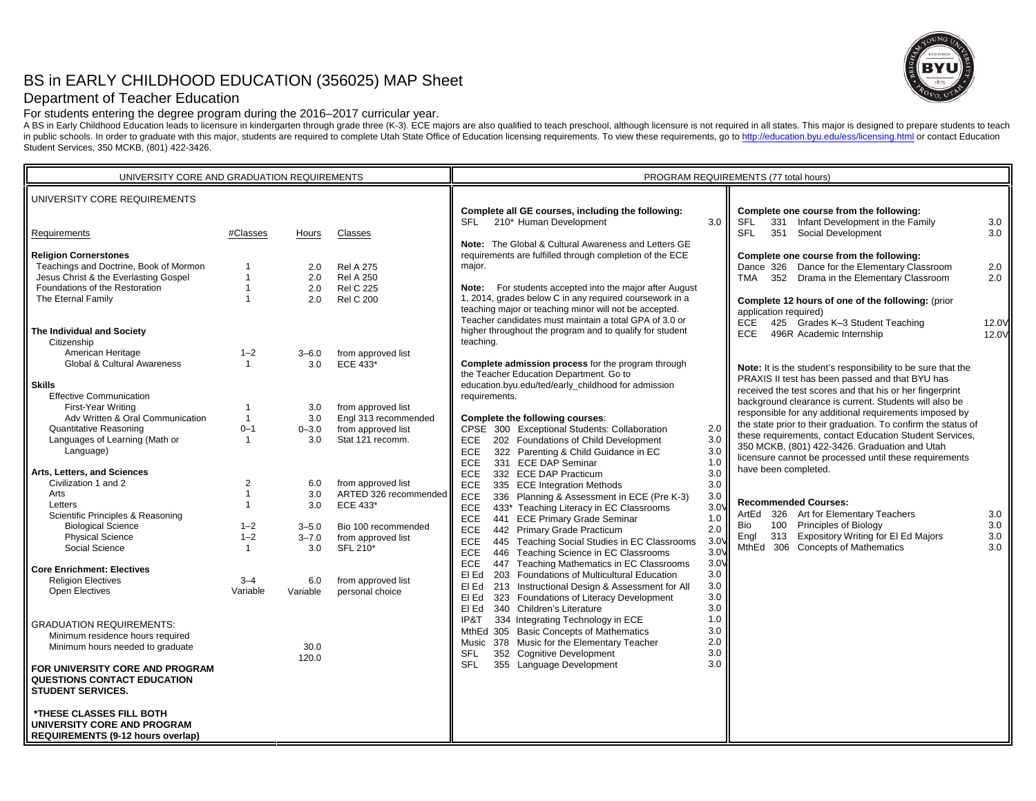# BS in EARLY CHILDHOOD EDUCATION (356025) MAP Sheet



## Department of Teacher Education

For students entering the degree program during the 2016–2017 curricular year.

A BS in Early Childhood Education leads to licensure in kindergarten through grade three (K-3). ECE majors are also qualified to teach preschool, although licensure is not required in all states. This major is designed to in public schools. In order to graduate with this major, students are required to complete Utah State Office of Education licensing requirements. To view these requirements, go to http://education.byu.edu/ess/licensing.htm Student Services, 350 MCKB, (801) 422-3426.

| UNIVERSITY CORE AND GRADUATION REQUIREMENTS                                                         |                |               | PROGRAM REQUIREMENTS (77 total hours) |                                                                                                                                                                             |                  |                                                                                                                   |                |
|-----------------------------------------------------------------------------------------------------|----------------|---------------|---------------------------------------|-----------------------------------------------------------------------------------------------------------------------------------------------------------------------------|------------------|-------------------------------------------------------------------------------------------------------------------|----------------|
| UNIVERSITY CORE REQUIREMENTS                                                                        |                |               |                                       | Complete all GE courses, including the following:                                                                                                                           |                  | Complete one course from the following:                                                                           |                |
| Requirements                                                                                        | #Classes       | Hours         | Classes                               | SFL 210* Human Development                                                                                                                                                  | 3.0              | <b>SFL</b><br>331 Infant Development in the Family<br><b>SFL</b><br>351 Social Development                        | 3.0<br>3.0     |
| <b>Religion Cornerstones</b>                                                                        |                |               |                                       | Note: The Global & Cultural Awareness and Letters GE<br>requirements are fulfilled through completion of the ECE                                                            |                  | Complete one course from the following:                                                                           |                |
| Teachings and Doctrine, Book of Mormon                                                              | $\mathbf{1}$   | 2.0           | <b>Rel A 275</b>                      | major.                                                                                                                                                                      |                  | Dance 326 Dance for the Elementary Classroom                                                                      | 2.0            |
| Jesus Christ & the Everlasting Gospel                                                               | $\overline{1}$ | 2.0           | <b>Rel A 250</b>                      |                                                                                                                                                                             |                  | TMA 352 Drama in the Elementary Classroom                                                                         | 2.0            |
| Foundations of the Restoration                                                                      | $\overline{1}$ | 2.0           | <b>Rel C 225</b>                      | Note: For students accepted into the major after August                                                                                                                     |                  |                                                                                                                   |                |
| The Eternal Family                                                                                  | $\overline{1}$ | 2.0           | <b>Rel C 200</b>                      | 1, 2014, grades below C in any required coursework in a<br>teaching major or teaching minor will not be accepted.<br>Teacher candidates must maintain a total GPA of 3.0 or |                  | Complete 12 hours of one of the following: (prior<br>application required)<br>ECE 425 Grades K-3 Student Teaching |                |
| The Individual and Society                                                                          |                |               |                                       | higher throughout the program and to qualify for student                                                                                                                    |                  | ECE<br>496R Academic Internship                                                                                   | 12.0V<br>12.0V |
| Citizenship                                                                                         |                |               |                                       | teaching.                                                                                                                                                                   |                  |                                                                                                                   |                |
| American Heritage                                                                                   | $1 - 2$        | $3 - 6.0$     | from approved list                    |                                                                                                                                                                             |                  |                                                                                                                   |                |
| <b>Global &amp; Cultural Awareness</b>                                                              | $\mathbf{1}$   | 3.0           | ECE 433*                              | Complete admission process for the program through                                                                                                                          |                  | Note: It is the student's responsibility to be sure that the                                                      |                |
|                                                                                                     |                |               |                                       | the Teacher Education Department. Go to<br>education.byu.edu/ted/early_childhood for admission                                                                              |                  | PRAXIS II test has been passed and that BYU has                                                                   |                |
| <b>Skills</b><br><b>Effective Communication</b>                                                     |                |               |                                       | requirements.                                                                                                                                                               |                  | received the test scores and that his or her fingerprint                                                          |                |
| First-Year Writing                                                                                  | $\overline{1}$ | 3.0           | from approved list                    |                                                                                                                                                                             |                  | background clearance is current. Students will also be                                                            |                |
| Adv Written & Oral Communication                                                                    | $\mathbf{1}$   | 3.0           | Engl 313 recommended                  | Complete the following courses:                                                                                                                                             |                  | responsible for any additional requirements imposed by                                                            |                |
| <b>Quantitative Reasoning</b>                                                                       | $0 - 1$        | $0 - 3.0$     | from approved list                    | CPSE 300 Exceptional Students: Collaboration                                                                                                                                | 2.0              | the state prior to their graduation. To confirm the status of                                                     |                |
| Languages of Learning (Math or                                                                      | $\mathbf{1}$   | 3.0           | Stat 121 recomm.                      | 202 Foundations of Child Development<br>ECE                                                                                                                                 | 3.0              | these requirements, contact Education Student Services,                                                           |                |
| Language)                                                                                           |                |               |                                       | 322 Parenting & Child Guidance in EC<br>ECE                                                                                                                                 | 3.0              | 350 MCKB, (801) 422-3426. Graduation and Utah                                                                     |                |
|                                                                                                     |                |               |                                       | <b>ECE</b><br>331 ECE DAP Seminar                                                                                                                                           | 1.0              | licensure cannot be processed until these requirements                                                            |                |
| Arts, Letters, and Sciences                                                                         |                |               |                                       | <b>ECE</b><br>332 ECE DAP Practicum                                                                                                                                         | 3.0              | have been completed.                                                                                              |                |
| Civilization 1 and 2                                                                                | $\overline{2}$ | 6.0           | from approved list                    | ECE<br>335 ECE Integration Methods                                                                                                                                          | 3.0              |                                                                                                                   |                |
| Arts                                                                                                | $\overline{1}$ | 3.0           | ARTED 326 recommended                 | ECE<br>336 Planning & Assessment in ECE (Pre K-3)                                                                                                                           | 3.0              | <b>Recommended Courses:</b>                                                                                       |                |
| Letters                                                                                             | $\mathbf{1}$   | 3.0           | ECE 433*                              | ECE<br>433* Teaching Literacy in EC Classrooms                                                                                                                              | $3.0\%$          | 326 Art for Elementary Teachers<br>ArtEd                                                                          | 3.0            |
| Scientific Principles & Reasoning<br><b>Biological Science</b>                                      | $1 - 2$        | $3 - 5.0$     | Bio 100 recommended                   | 441 ECE Primary Grade Seminar<br>ECE                                                                                                                                        | 1.0              | <b>Principles of Biology</b><br>100<br>Bio                                                                        | 3.0            |
| <b>Physical Science</b>                                                                             | $1 - 2$        | $3 - 7.0$     | from approved list                    | <b>ECE</b><br>442 Primary Grade Practicum                                                                                                                                   | 2.0              | 313 Expository Writing for El Ed Majors<br>Engl                                                                   | 3.0            |
| Social Science                                                                                      | $\mathbf{1}$   | 3.0           | SFL 210*                              | 445 Teaching Social Studies in EC Classrooms<br>ECE                                                                                                                         | $3.0\%$          | MthEd 306 Concepts of Mathematics                                                                                 | 3.0            |
|                                                                                                     |                |               |                                       | 446 Teaching Science in EC Classrooms<br>ECE                                                                                                                                | $3.0\%$          |                                                                                                                   |                |
| <b>Core Enrichment: Electives</b>                                                                   |                |               |                                       | <b>ECE</b><br>447 Teaching Mathematics in EC Classrooms                                                                                                                     | 3.0 <sub>V</sub> |                                                                                                                   |                |
| <b>Religion Electives</b>                                                                           | $3 - 4$        | 6.0           | from approved list                    | EI Ed<br>203 Foundations of Multicultural Education                                                                                                                         | 3.0<br>3.0       |                                                                                                                   |                |
| <b>Open Electives</b>                                                                               | Variable       | Variable      | personal choice                       | 213 Instructional Design & Assessment for All<br>EI Ed<br>EI Ed<br>323 Foundations of Literacy Development                                                                  | 3.0              |                                                                                                                   |                |
|                                                                                                     |                |               |                                       | 340 Children's Literature<br>EI Ed                                                                                                                                          | 3.0              |                                                                                                                   |                |
|                                                                                                     |                |               |                                       | IP&T<br>334 Integrating Technology in ECE                                                                                                                                   | 1.0              |                                                                                                                   |                |
| <b>GRADUATION REQUIREMENTS:</b>                                                                     |                |               |                                       | MthEd 305 Basic Concepts of Mathematics                                                                                                                                     | 3.0              |                                                                                                                   |                |
| Minimum residence hours required                                                                    |                |               |                                       | Music 378 Music for the Elementary Teacher                                                                                                                                  | 2.0              |                                                                                                                   |                |
| Minimum hours needed to graduate                                                                    |                | 30.0<br>120.0 |                                       | 352 Cognitive Development<br><b>SFL</b>                                                                                                                                     | 3.0              |                                                                                                                   |                |
| FOR UNIVERSITY CORE AND PROGRAM<br>QUESTIONS CONTACT EDUCATION<br><b>STUDENT SERVICES.</b>          |                |               |                                       | <b>SFL</b><br>355 Language Development                                                                                                                                      | 3.0              |                                                                                                                   |                |
| *THESE CLASSES FILL BOTH<br>UNIVERSITY CORE AND PROGRAM<br><b>REQUIREMENTS (9-12 hours overlap)</b> |                |               |                                       |                                                                                                                                                                             |                  |                                                                                                                   |                |